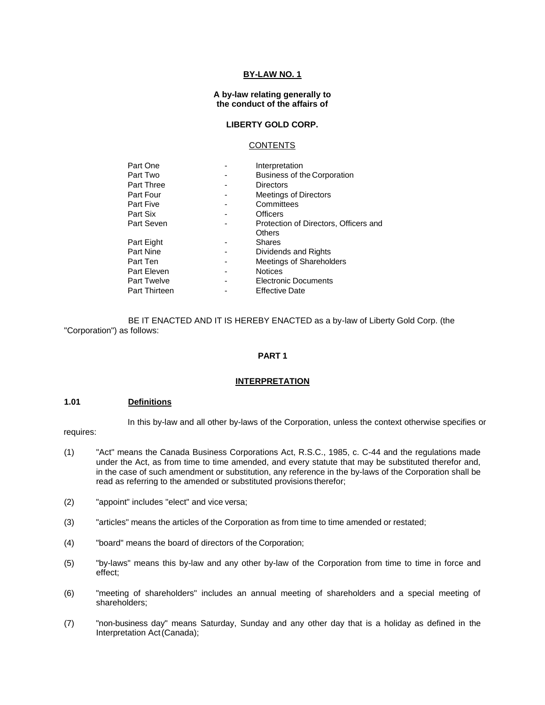### **BY-LAW NO. 1**

#### **A by-law relating generally to the conduct of the affairs of**

# **LIBERTY GOLD CORP.**

#### CONTENTS

| Part One             | Interpretation                        |
|----------------------|---------------------------------------|
| Part Two             | <b>Business of the Corporation</b>    |
| <b>Part Three</b>    | <b>Directors</b>                      |
| Part Four            | <b>Meetings of Directors</b>          |
| Part Five            | Committees                            |
| Part Six             | Officers                              |
| Part Seven           | Protection of Directors, Officers and |
|                      | Others                                |
| Part Eight           | <b>Shares</b>                         |
| Part Nine            | Dividends and Rights                  |
| Part Ten             | Meetings of Shareholders              |
| Part Eleven          | <b>Notices</b>                        |
| <b>Part Twelve</b>   | <b>Electronic Documents</b>           |
| <b>Part Thirteen</b> | <b>Effective Date</b>                 |
|                      |                                       |

BE IT ENACTED AND IT IS HEREBY ENACTED as a by-law of Liberty Gold Corp. (the "Corporation") as follows:

#### **PART 1**

#### **INTERPRETATION**

# **1.01 Definitions**

requires:

In this by-law and all other by-laws of the Corporation, unless the context otherwise specifies or

- (1) "Act" means the Canada Business Corporations Act, R.S.C., 1985, c. C-44 and the regulations made under the Act, as from time to time amended, and every statute that may be substituted therefor and, in the case of such amendment or substitution, any reference in the by-laws of the Corporation shall be read as referring to the amended or substituted provisions therefor;
- (2) "appoint" includes "elect" and vice versa;
- (3) "articles" means the articles of the Corporation as from time to time amended or restated;
- (4) "board" means the board of directors of the Corporation;
- (5) "by-laws" means this by-law and any other by-law of the Corporation from time to time in force and effect;
- (6) "meeting of shareholders" includes an annual meeting of shareholders and a special meeting of shareholders;
- (7) "non-business day" means Saturday, Sunday and any other day that is a holiday as defined in the Interpretation Act(Canada);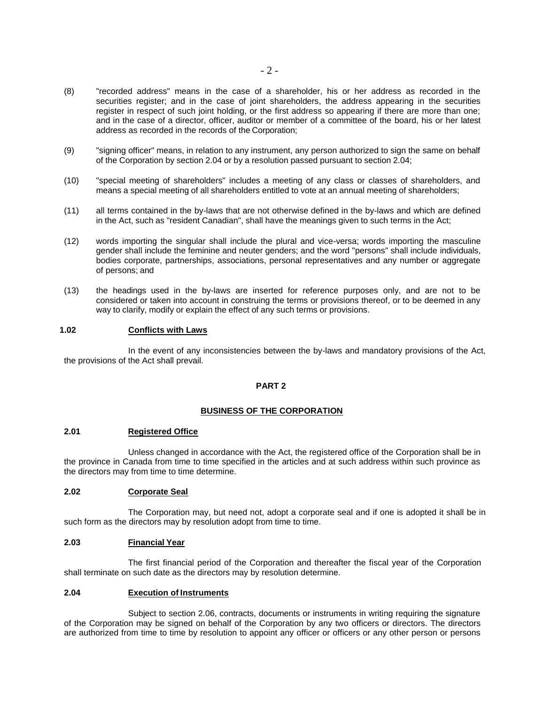- (8) "recorded address" means in the case of a shareholder, his or her address as recorded in the securities register; and in the case of joint shareholders, the address appearing in the securities register in respect of such joint holding, or the first address so appearing if there are more than one; and in the case of a director, officer, auditor or member of a committee of the board, his or her latest address as recorded in the records of the Corporation;
- (9) "signing officer" means, in relation to any instrument, any person authorized to sign the same on behalf of the Corporation by section 2.04 or by a resolution passed pursuant to section 2.04;
- (10) "special meeting of shareholders" includes a meeting of any class or classes of shareholders, and means a special meeting of all shareholders entitled to vote at an annual meeting of shareholders;
- (11) all terms contained in the by-laws that are not otherwise defined in the by-laws and which are defined in the Act, such as "resident Canadian", shall have the meanings given to such terms in the Act;
- (12) words importing the singular shall include the plural and vice-versa; words importing the masculine gender shall include the feminine and neuter genders; and the word "persons" shall include individuals, bodies corporate, partnerships, associations, personal representatives and any number or aggregate of persons; and
- (13) the headings used in the by-laws are inserted for reference purposes only, and are not to be considered or taken into account in construing the terms or provisions thereof, or to be deemed in any way to clarify, modify or explain the effect of any such terms or provisions.

#### **1.02 Conflicts with Laws**

In the event of any inconsistencies between the by-laws and mandatory provisions of the Act, the provisions of the Act shall prevail.

#### **PART 2**

#### **BUSINESS OF THE CORPORATION**

#### **2.01 Registered Office**

Unless changed in accordance with the Act, the registered office of the Corporation shall be in the province in Canada from time to time specified in the articles and at such address within such province as the directors may from time to time determine.

## **2.02 Corporate Seal**

The Corporation may, but need not, adopt a corporate seal and if one is adopted it shall be in such form as the directors may by resolution adopt from time to time.

#### **2.03 Financial Year**

The first financial period of the Corporation and thereafter the fiscal year of the Corporation shall terminate on such date as the directors may by resolution determine.

#### **2.04 Execution of Instruments**

Subject to section 2.06, contracts, documents or instruments in writing requiring the signature of the Corporation may be signed on behalf of the Corporation by any two officers or directors. The directors are authorized from time to time by resolution to appoint any officer or officers or any other person or persons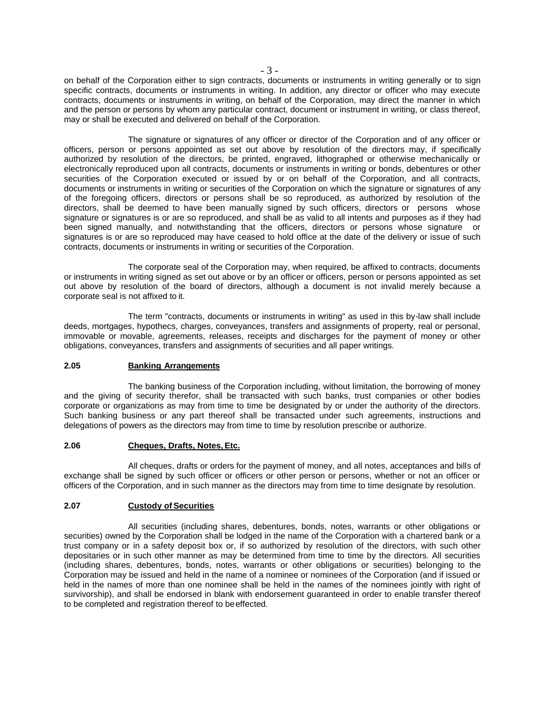on behalf of the Corporation either to sign contracts, documents or instruments in writing generally or to sign specific contracts, documents or instruments in writing. In addition, any director or officer who may execute contracts, documents or instruments in writing, on behalf of the Corporation, may direct the manner in which and the person or persons by whom any particular contract, document or instrument in writing, or class thereof, may or shall be executed and delivered on behalf of the Corporation.

The signature or signatures of any officer or director of the Corporation and of any officer or officers, person or persons appointed as set out above by resolution of the directors may, if specifically authorized by resolution of the directors, be printed, engraved, lithographed or otherwise mechanically or electronically reproduced upon all contracts, documents or instruments in writing or bonds, debentures or other securities of the Corporation executed or issued by or on behalf of the Corporation, and all contracts, documents or instruments in writing or securities of the Corporation on which the signature or signatures of any of the foregoing officers, directors or persons shall be so reproduced, as authorized by resolution of the directors, shall be deemed to have been manually signed by such officers, directors or persons whose signature or signatures is or are so reproduced, and shall be as valid to all intents and purposes as if they had been signed manually, and notwithstanding that the officers, directors or persons whose signature or signatures is or are so reproduced may have ceased to hold office at the date of the delivery or issue of such contracts, documents or instruments in writing or securities of the Corporation.

The corporate seal of the Corporation may, when required, be affixed to contracts, documents or instruments in writing signed as set out above or by an officer or officers, person or persons appointed as set out above by resolution of the board of directors, although a document is not invalid merely because a corporate seal is not affixed to it.

The term "contracts, documents or instruments in writing" as used in this by-law shall include deeds, mortgages, hypothecs, charges, conveyances, transfers and assignments of property, real or personal, immovable or movable, agreements, releases, receipts and discharges for the payment of money or other obligations, conveyances, transfers and assignments of securities and all paper writings.

#### **2.05 Banking Arrangements**

The banking business of the Corporation including, without limitation, the borrowing of money and the giving of security therefor, shall be transacted with such banks, trust companies or other bodies corporate or organizations as may from time to time be designated by or under the authority of the directors. Such banking business or any part thereof shall be transacted under such agreements, instructions and delegations of powers as the directors may from time to time by resolution prescribe or authorize.

#### **2.06 Cheques, Drafts, Notes,Etc.**

All cheques, drafts or orders for the payment of money, and all notes, acceptances and bills of exchange shall be signed by such officer or officers or other person or persons, whether or not an officer or officers of the Corporation, and in such manner as the directors may from time to time designate by resolution.

# **2.07 Custody of Securities**

All securities (including shares, debentures, bonds, notes, warrants or other obligations or securities) owned by the Corporation shall be lodged in the name of the Corporation with a chartered bank or a trust company or in a safety deposit box or, if so authorized by resolution of the directors, with such other depositaries or in such other manner as may be determined from time to time by the directors. All securities (including shares, debentures, bonds, notes, warrants or other obligations or securities) belonging to the Corporation may be issued and held in the name of a nominee or nominees of the Corporation (and if issued or held in the names of more than one nominee shall be held in the names of the nominees jointly with right of survivorship), and shall be endorsed in blank with endorsement guaranteed in order to enable transfer thereof to be completed and registration thereof to beeffected.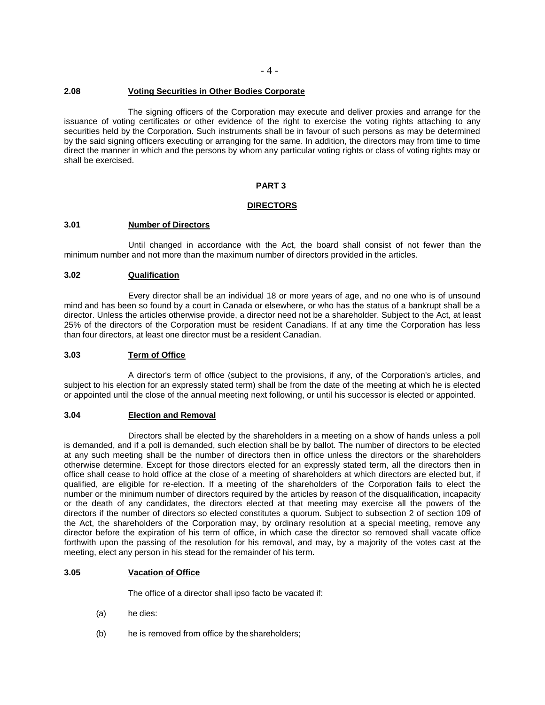#### **2.08 Voting Securities in Other Bodies Corporate**

The signing officers of the Corporation may execute and deliver proxies and arrange for the issuance of voting certificates or other evidence of the right to exercise the voting rights attaching to any securities held by the Corporation. Such instruments shall be in favour of such persons as may be determined by the said signing officers executing or arranging for the same. In addition, the directors may from time to time direct the manner in which and the persons by whom any particular voting rights or class of voting rights may or shall be exercised.

### **PART 3**

#### **DIRECTORS**

## **3.01 Number of Directors**

Until changed in accordance with the Act, the board shall consist of not fewer than the minimum number and not more than the maximum number of directors provided in the articles.

#### **3.02 Qualification**

Every director shall be an individual 18 or more years of age, and no one who is of unsound mind and has been so found by a court in Canada or elsewhere, or who has the status of a bankrupt shall be a director. Unless the articles otherwise provide, a director need not be a shareholder. Subject to the Act, at least 25% of the directors of the Corporation must be resident Canadians. If at any time the Corporation has less than four directors, at least one director must be a resident Canadian.

#### **3.03 Term of Office**

A director's term of office (subject to the provisions, if any, of the Corporation's articles, and subject to his election for an expressly stated term) shall be from the date of the meeting at which he is elected or appointed until the close of the annual meeting next following, or until his successor is elected or appointed.

#### **3.04 Election and Removal**

Directors shall be elected by the shareholders in a meeting on a show of hands unless a poll is demanded, and if a poll is demanded, such election shall be by ballot. The number of directors to be elected at any such meeting shall be the number of directors then in office unless the directors or the shareholders otherwise determine. Except for those directors elected for an expressly stated term, all the directors then in office shall cease to hold office at the close of a meeting of shareholders at which directors are elected but, if qualified, are eligible for re-election. If a meeting of the shareholders of the Corporation fails to elect the number or the minimum number of directors required by the articles by reason of the disqualification, incapacity or the death of any candidates, the directors elected at that meeting may exercise all the powers of the directors if the number of directors so elected constitutes a quorum. Subject to subsection 2 of section 109 of the Act, the shareholders of the Corporation may, by ordinary resolution at a special meeting, remove any director before the expiration of his term of office, in which case the director so removed shall vacate office forthwith upon the passing of the resolution for his removal, and may, by a majority of the votes cast at the meeting, elect any person in his stead for the remainder of his term.

## **3.05 Vacation of Office**

The office of a director shall ipso facto be vacated if:

- (a) he dies:
- (b) he is removed from office by the shareholders;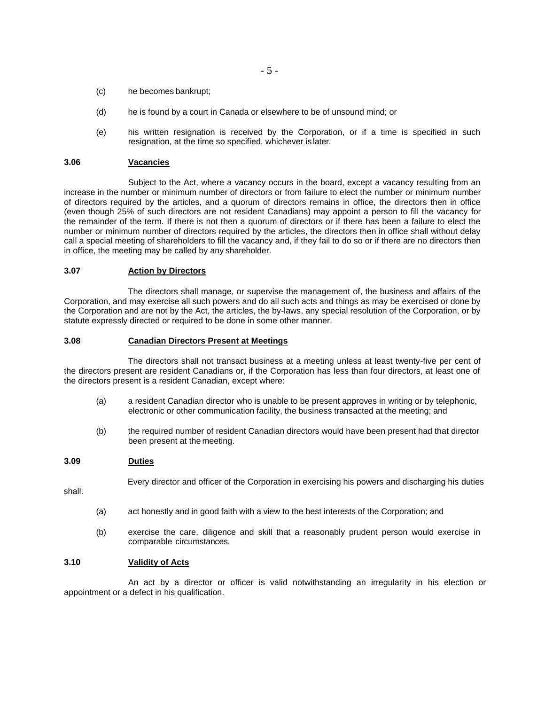- (c) he becomes bankrupt;
- (d) he is found by a court in Canada or elsewhere to be of unsound mind; or
- (e) his written resignation is received by the Corporation, or if a time is specified in such resignation, at the time so specified, whichever is later.

#### **3.06 Vacancies**

Subject to the Act, where a vacancy occurs in the board, except a vacancy resulting from an increase in the number or minimum number of directors or from failure to elect the number or minimum number of directors required by the articles, and a quorum of directors remains in office, the directors then in office (even though 25% of such directors are not resident Canadians) may appoint a person to fill the vacancy for the remainder of the term. If there is not then a quorum of directors or if there has been a failure to elect the number or minimum number of directors required by the articles, the directors then in office shall without delay call a special meeting of shareholders to fill the vacancy and, if they fail to do so or if there are no directors then in office, the meeting may be called by any shareholder.

#### **3.07 Action by Directors**

The directors shall manage, or supervise the management of, the business and affairs of the Corporation, and may exercise all such powers and do all such acts and things as may be exercised or done by the Corporation and are not by the Act, the articles, the by-laws, any special resolution of the Corporation, or by statute expressly directed or required to be done in some other manner.

#### **3.08 Canadian Directors Present at Meetings**

The directors shall not transact business at a meeting unless at least twenty-five per cent of the directors present are resident Canadians or, if the Corporation has less than four directors, at least one of the directors present is a resident Canadian, except where:

- (a) a resident Canadian director who is unable to be present approves in writing or by telephonic, electronic or other communication facility, the business transacted at the meeting; and
- (b) the required number of resident Canadian directors would have been present had that director been present at the meeting.

#### **3.09 Duties**

Every director and officer of the Corporation in exercising his powers and discharging his duties

shall:

- (a) act honestly and in good faith with a view to the best interests of the Corporation; and
- (b) exercise the care, diligence and skill that a reasonably prudent person would exercise in comparable circumstances.

#### **3.10 Validity of Acts**

An act by a director or officer is valid notwithstanding an irregularity in his election or appointment or a defect in his qualification.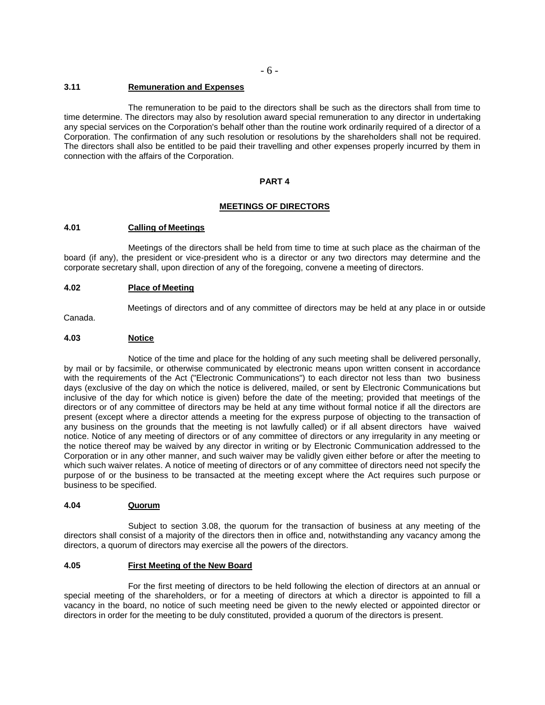# **3.11 Remuneration and Expenses**

The remuneration to be paid to the directors shall be such as the directors shall from time to time determine. The directors may also by resolution award special remuneration to any director in undertaking any special services on the Corporation's behalf other than the routine work ordinarily required of a director of a Corporation. The confirmation of any such resolution or resolutions by the shareholders shall not be required. The directors shall also be entitled to be paid their travelling and other expenses properly incurred by them in connection with the affairs of the Corporation.

#### **PART 4**

#### **MEETINGS OF DIRECTORS**

#### **4.01 Calling of Meetings**

Meetings of the directors shall be held from time to time at such place as the chairman of the board (if any), the president or vice-president who is a director or any two directors may determine and the corporate secretary shall, upon direction of any of the foregoing, convene a meeting of directors.

#### **4.02 Place of Meeting**

Canada.

Meetings of directors and of any committee of directors may be held at any place in or outside

### **4.03 Notice**

Notice of the time and place for the holding of any such meeting shall be delivered personally, by mail or by facsimile, or otherwise communicated by electronic means upon written consent in accordance with the requirements of the Act ("Electronic Communications") to each director not less than two business days (exclusive of the day on which the notice is delivered, mailed, or sent by Electronic Communications but inclusive of the day for which notice is given) before the date of the meeting; provided that meetings of the directors or of any committee of directors may be held at any time without formal notice if all the directors are present (except where a director attends a meeting for the express purpose of objecting to the transaction of any business on the grounds that the meeting is not lawfully called) or if all absent directors have waived notice. Notice of any meeting of directors or of any committee of directors or any irregularity in any meeting or the notice thereof may be waived by any director in writing or by Electronic Communication addressed to the Corporation or in any other manner, and such waiver may be validly given either before or after the meeting to which such waiver relates. A notice of meeting of directors or of any committee of directors need not specify the purpose of or the business to be transacted at the meeting except where the Act requires such purpose or business to be specified.

#### **4.04 Quorum**

Subject to section 3.08, the quorum for the transaction of business at any meeting of the directors shall consist of a majority of the directors then in office and, notwithstanding any vacancy among the directors, a quorum of directors may exercise all the powers of the directors.

#### **4.05 First Meeting of the New Board**

For the first meeting of directors to be held following the election of directors at an annual or special meeting of the shareholders, or for a meeting of directors at which a director is appointed to fill a vacancy in the board, no notice of such meeting need be given to the newly elected or appointed director or directors in order for the meeting to be duly constituted, provided a quorum of the directors is present.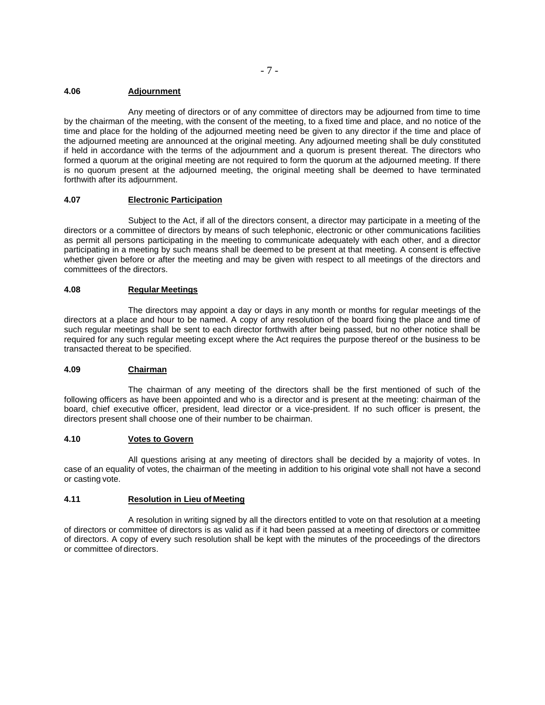### **4.06 Adjournment**

Any meeting of directors or of any committee of directors may be adjourned from time to time by the chairman of the meeting, with the consent of the meeting, to a fixed time and place, and no notice of the time and place for the holding of the adjourned meeting need be given to any director if the time and place of the adjourned meeting are announced at the original meeting. Any adjourned meeting shall be duly constituted if held in accordance with the terms of the adjournment and a quorum is present thereat. The directors who formed a quorum at the original meeting are not required to form the quorum at the adjourned meeting. If there is no quorum present at the adjourned meeting, the original meeting shall be deemed to have terminated forthwith after its adjournment.

### **4.07 Electronic Participation**

Subject to the Act, if all of the directors consent, a director may participate in a meeting of the directors or a committee of directors by means of such telephonic, electronic or other communications facilities as permit all persons participating in the meeting to communicate adequately with each other, and a director participating in a meeting by such means shall be deemed to be present at that meeting. A consent is effective whether given before or after the meeting and may be given with respect to all meetings of the directors and committees of the directors.

# **4.08 Regular Meetings**

The directors may appoint a day or days in any month or months for regular meetings of the directors at a place and hour to be named. A copy of any resolution of the board fixing the place and time of such regular meetings shall be sent to each director forthwith after being passed, but no other notice shall be required for any such regular meeting except where the Act requires the purpose thereof or the business to be transacted thereat to be specified.

# **4.09 Chairman**

The chairman of any meeting of the directors shall be the first mentioned of such of the following officers as have been appointed and who is a director and is present at the meeting: chairman of the board, chief executive officer, president, lead director or a vice-president. If no such officer is present, the directors present shall choose one of their number to be chairman.

#### **4.10 Votes to Govern**

All questions arising at any meeting of directors shall be decided by a majority of votes. In case of an equality of votes, the chairman of the meeting in addition to his original vote shall not have a second or casting vote.

#### **4.11 Resolution in Lieu of Meeting**

A resolution in writing signed by all the directors entitled to vote on that resolution at a meeting of directors or committee of directors is as valid as if it had been passed at a meeting of directors or committee of directors. A copy of every such resolution shall be kept with the minutes of the proceedings of the directors or committee of directors.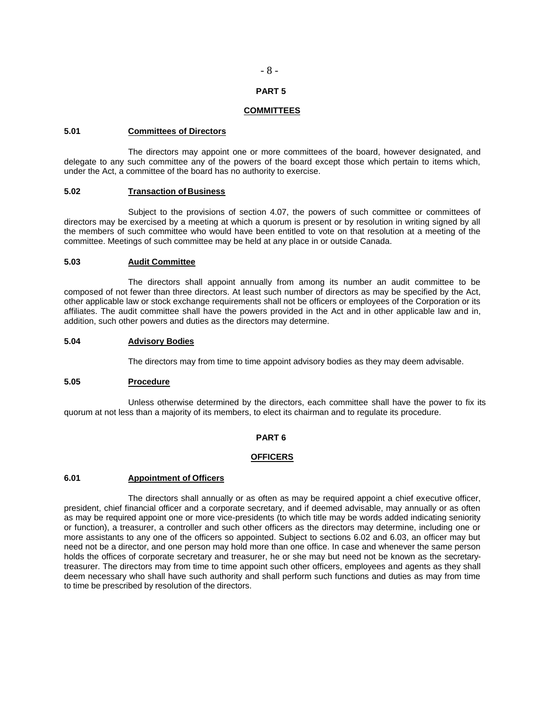# **PART 5**

#### **COMMITTEES**

#### **5.01 Committees of Directors**

The directors may appoint one or more committees of the board, however designated, and delegate to any such committee any of the powers of the board except those which pertain to items which, under the Act, a committee of the board has no authority to exercise.

### **5.02 Transaction of Business**

Subject to the provisions of section 4.07, the powers of such committee or committees of directors may be exercised by a meeting at which a quorum is present or by resolution in writing signed by all the members of such committee who would have been entitled to vote on that resolution at a meeting of the committee. Meetings of such committee may be held at any place in or outside Canada.

#### **5.03 Audit Committee**

The directors shall appoint annually from among its number an audit committee to be composed of not fewer than three directors. At least such number of directors as may be specified by the Act, other applicable law or stock exchange requirements shall not be officers or employees of the Corporation or its affiliates. The audit committee shall have the powers provided in the Act and in other applicable law and in, addition, such other powers and duties as the directors may determine.

#### **5.04 Advisory Bodies**

The directors may from time to time appoint advisory bodies as they may deem advisable.

#### **5.05 Procedure**

Unless otherwise determined by the directors, each committee shall have the power to fix its quorum at not less than a majority of its members, to elect its chairman and to regulate its procedure.

#### **PART 6**

### **OFFICERS**

#### **6.01 Appointment of Officers**

The directors shall annually or as often as may be required appoint a chief executive officer, president, chief financial officer and a corporate secretary, and if deemed advisable, may annually or as often as may be required appoint one or more vice-presidents (to which title may be words added indicating seniority or function), a treasurer, a controller and such other officers as the directors may determine, including one or more assistants to any one of the officers so appointed. Subject to sections 6.02 and 6.03, an officer may but need not be a director, and one person may hold more than one office. In case and whenever the same person holds the offices of corporate secretary and treasurer, he or she may but need not be known as the secretarytreasurer. The directors may from time to time appoint such other officers, employees and agents as they shall deem necessary who shall have such authority and shall perform such functions and duties as may from time to time be prescribed by resolution of the directors.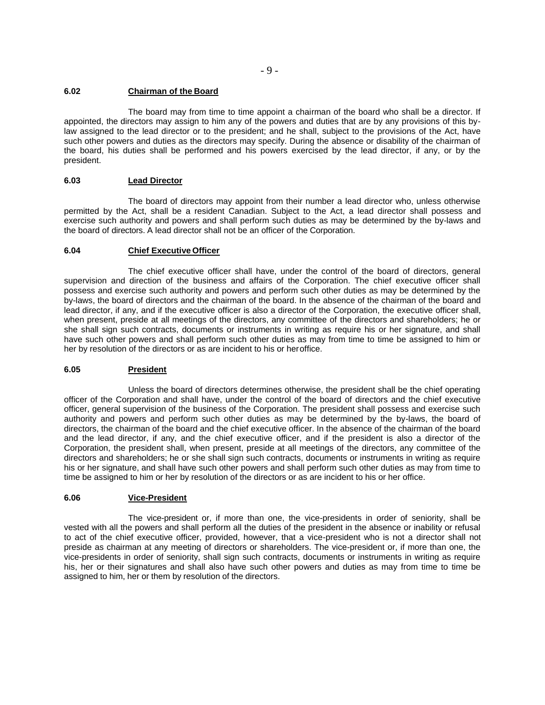# **6.02 Chairman of the Board**

The board may from time to time appoint a chairman of the board who shall be a director. If appointed, the directors may assign to him any of the powers and duties that are by any provisions of this bylaw assigned to the lead director or to the president; and he shall, subject to the provisions of the Act, have such other powers and duties as the directors may specify. During the absence or disability of the chairman of the board, his duties shall be performed and his powers exercised by the lead director, if any, or by the president.

# **6.03 Lead Director**

The board of directors may appoint from their number a lead director who, unless otherwise permitted by the Act, shall be a resident Canadian. Subject to the Act, a lead director shall possess and exercise such authority and powers and shall perform such duties as may be determined by the by-laws and the board of directors. A lead director shall not be an officer of the Corporation.

# **6.04 Chief Executive Officer**

The chief executive officer shall have, under the control of the board of directors, general supervision and direction of the business and affairs of the Corporation. The chief executive officer shall possess and exercise such authority and powers and perform such other duties as may be determined by the by-laws, the board of directors and the chairman of the board. In the absence of the chairman of the board and lead director, if any, and if the executive officer is also a director of the Corporation, the executive officer shall, when present, preside at all meetings of the directors, any committee of the directors and shareholders; he or she shall sign such contracts, documents or instruments in writing as require his or her signature, and shall have such other powers and shall perform such other duties as may from time to time be assigned to him or her by resolution of the directors or as are incident to his or heroffice.

# **6.05 President**

Unless the board of directors determines otherwise, the president shall be the chief operating officer of the Corporation and shall have, under the control of the board of directors and the chief executive officer, general supervision of the business of the Corporation. The president shall possess and exercise such authority and powers and perform such other duties as may be determined by the by-laws, the board of directors, the chairman of the board and the chief executive officer. In the absence of the chairman of the board and the lead director, if any, and the chief executive officer, and if the president is also a director of the Corporation, the president shall, when present, preside at all meetings of the directors, any committee of the directors and shareholders; he or she shall sign such contracts, documents or instruments in writing as require his or her signature, and shall have such other powers and shall perform such other duties as may from time to time be assigned to him or her by resolution of the directors or as are incident to his or her office.

# **6.06 Vice-President**

The vice-president or, if more than one, the vice-presidents in order of seniority, shall be vested with all the powers and shall perform all the duties of the president in the absence or inability or refusal to act of the chief executive officer, provided, however, that a vice-president who is not a director shall not preside as chairman at any meeting of directors or shareholders. The vice-president or, if more than one, the vice-presidents in order of seniority, shall sign such contracts, documents or instruments in writing as require his, her or their signatures and shall also have such other powers and duties as may from time to time be assigned to him, her or them by resolution of the directors.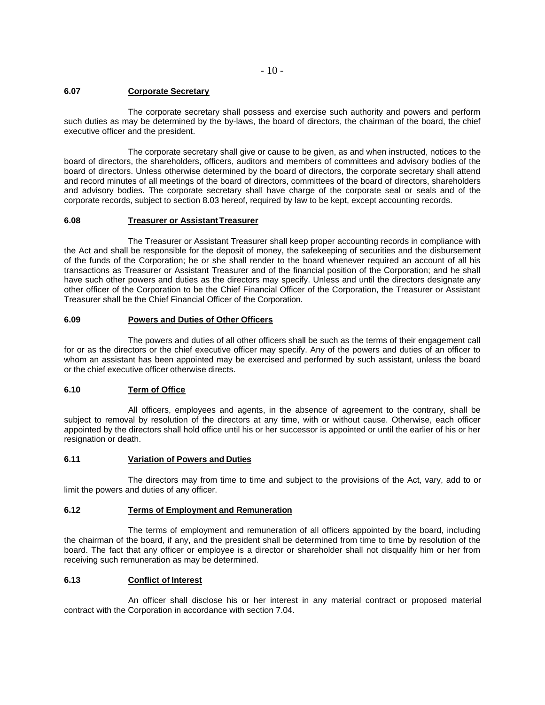### **6.07 Corporate Secretary**

The corporate secretary shall possess and exercise such authority and powers and perform such duties as may be determined by the by-laws, the board of directors, the chairman of the board, the chief executive officer and the president.

The corporate secretary shall give or cause to be given, as and when instructed, notices to the board of directors, the shareholders, officers, auditors and members of committees and advisory bodies of the board of directors. Unless otherwise determined by the board of directors, the corporate secretary shall attend and record minutes of all meetings of the board of directors, committees of the board of directors, shareholders and advisory bodies. The corporate secretary shall have charge of the corporate seal or seals and of the corporate records, subject to section 8.03 hereof, required by law to be kept, except accounting records.

### **6.08 Treasurer or AssistantTreasurer**

The Treasurer or Assistant Treasurer shall keep proper accounting records in compliance with the Act and shall be responsible for the deposit of money, the safekeeping of securities and the disbursement of the funds of the Corporation; he or she shall render to the board whenever required an account of all his transactions as Treasurer or Assistant Treasurer and of the financial position of the Corporation; and he shall have such other powers and duties as the directors may specify. Unless and until the directors designate any other officer of the Corporation to be the Chief Financial Officer of the Corporation, the Treasurer or Assistant Treasurer shall be the Chief Financial Officer of the Corporation.

### **6.09 Powers and Duties of Other Officers**

The powers and duties of all other officers shall be such as the terms of their engagement call for or as the directors or the chief executive officer may specify. Any of the powers and duties of an officer to whom an assistant has been appointed may be exercised and performed by such assistant, unless the board or the chief executive officer otherwise directs.

# **6.10 Term of Office**

All officers, employees and agents, in the absence of agreement to the contrary, shall be subject to removal by resolution of the directors at any time, with or without cause. Otherwise, each officer appointed by the directors shall hold office until his or her successor is appointed or until the earlier of his or her resignation or death.

### **6.11 Variation of Powers and Duties**

The directors may from time to time and subject to the provisions of the Act, vary, add to or limit the powers and duties of any officer.

#### **6.12 Terms of Employment and Remuneration**

The terms of employment and remuneration of all officers appointed by the board, including the chairman of the board, if any, and the president shall be determined from time to time by resolution of the board. The fact that any officer or employee is a director or shareholder shall not disqualify him or her from receiving such remuneration as may be determined.

### **6.13 Conflict of Interest**

An officer shall disclose his or her interest in any material contract or proposed material contract with the Corporation in accordance with section 7.04.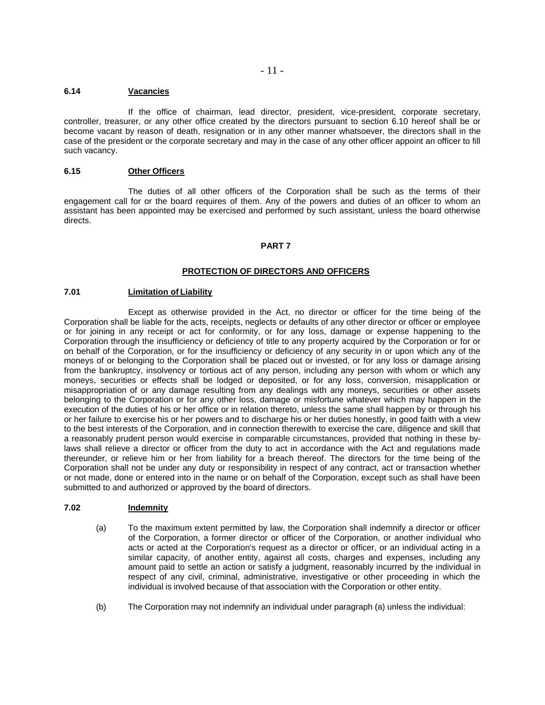### **6.14 Vacancies**

If the office of chairman, lead director, president, vice-president, corporate secretary, controller, treasurer, or any other office created by the directors pursuant to section 6.10 hereof shall be or become vacant by reason of death, resignation or in any other manner whatsoever, the directors shall in the case of the president or the corporate secretary and may in the case of any other officer appoint an officer to fill such vacancy.

## **6.15 Other Officers**

The duties of all other officers of the Corporation shall be such as the terms of their engagement call for or the board requires of them. Any of the powers and duties of an officer to whom an assistant has been appointed may be exercised and performed by such assistant, unless the board otherwise directs.

### **PART 7**

### **PROTECTION OF DIRECTORS AND OFFICERS**

#### **7.01 Limitation of Liability**

Except as otherwise provided in the Act, no director or officer for the time being of the Corporation shall be liable for the acts, receipts, neglects or defaults of any other director or officer or employee or for joining in any receipt or act for conformity, or for any loss, damage or expense happening to the Corporation through the insufficiency or deficiency of title to any property acquired by the Corporation or for or on behalf of the Corporation, or for the insufficiency or deficiency of any security in or upon which any of the moneys of or belonging to the Corporation shall be placed out or invested, or for any loss or damage arising from the bankruptcy, insolvency or tortious act of any person, including any person with whom or which any moneys, securities or effects shall be lodged or deposited, or for any loss, conversion, misapplication or misappropriation of or any damage resulting from any dealings with any moneys, securities or other assets belonging to the Corporation or for any other loss, damage or misfortune whatever which may happen in the execution of the duties of his or her office or in relation thereto, unless the same shall happen by or through his or her failure to exercise his or her powers and to discharge his or her duties honestly, in good faith with a view to the best interests of the Corporation, and in connection therewith to exercise the care, diligence and skill that a reasonably prudent person would exercise in comparable circumstances, provided that nothing in these bylaws shall relieve a director or officer from the duty to act in accordance with the Act and regulations made thereunder, or relieve him or her from liability for a breach thereof. The directors for the time being of the Corporation shall not be under any duty or responsibility in respect of any contract, act or transaction whether or not made, done or entered into in the name or on behalf of the Corporation, except such as shall have been submitted to and authorized or approved by the board of directors.

#### **7.02 Indemnity**

- (a) To the maximum extent permitted by law, the Corporation shall indemnify a director or officer of the Corporation, a former director or officer of the Corporation, or another individual who acts or acted at the Corporation's request as a director or officer, or an individual acting in a similar capacity, of another entity, against all costs, charges and expenses, including any amount paid to settle an action or satisfy a judgment, reasonably incurred by the individual in respect of any civil, criminal, administrative, investigative or other proceeding in which the individual is involved because of that association with the Corporation or other entity.
- (b) The Corporation may not indemnify an individual under paragraph (a) unless the individual: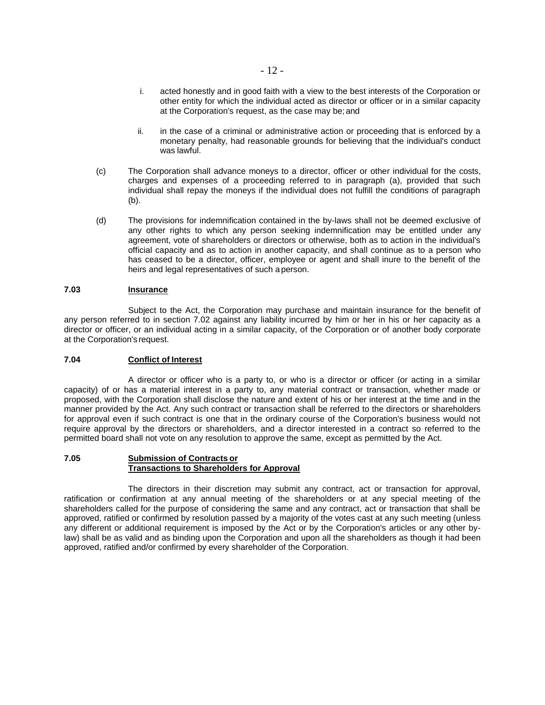- i. acted honestly and in good faith with a view to the best interests of the Corporation or other entity for which the individual acted as director or officer or in a similar capacity at the Corporation's request, as the case may be; and
- ii. in the case of a criminal or administrative action or proceeding that is enforced by a monetary penalty, had reasonable grounds for believing that the individual's conduct was lawful.
- (c) The Corporation shall advance moneys to a director, officer or other individual for the costs, charges and expenses of a proceeding referred to in paragraph (a), provided that such individual shall repay the moneys if the individual does not fulfill the conditions of paragraph (b).
- (d) The provisions for indemnification contained in the by-laws shall not be deemed exclusive of any other rights to which any person seeking indemnification may be entitled under any agreement, vote of shareholders or directors or otherwise, both as to action in the individual's official capacity and as to action in another capacity, and shall continue as to a person who has ceased to be a director, officer, employee or agent and shall inure to the benefit of the heirs and legal representatives of such aperson.

## **7.03 Insurance**

Subject to the Act, the Corporation may purchase and maintain insurance for the benefit of any person referred to in section 7.02 against any liability incurred by him or her in his or her capacity as a director or officer, or an individual acting in a similar capacity, of the Corporation or of another body corporate at the Corporation's request.

#### **7.04 Conflict of Interest**

A director or officer who is a party to, or who is a director or officer (or acting in a similar capacity) of or has a material interest in a party to, any material contract or transaction, whether made or proposed, with the Corporation shall disclose the nature and extent of his or her interest at the time and in the manner provided by the Act. Any such contract or transaction shall be referred to the directors or shareholders for approval even if such contract is one that in the ordinary course of the Corporation's business would not require approval by the directors or shareholders, and a director interested in a contract so referred to the permitted board shall not vote on any resolution to approve the same, except as permitted by the Act.

#### **7.05 Submission of Contracts or Transactions to Shareholders for Approval**

The directors in their discretion may submit any contract, act or transaction for approval, ratification or confirmation at any annual meeting of the shareholders or at any special meeting of the shareholders called for the purpose of considering the same and any contract, act or transaction that shall be approved, ratified or confirmed by resolution passed by a majority of the votes cast at any such meeting (unless any different or additional requirement is imposed by the Act or by the Corporation's articles or any other bylaw) shall be as valid and as binding upon the Corporation and upon all the shareholders as though it had been approved, ratified and/or confirmed by every shareholder of the Corporation.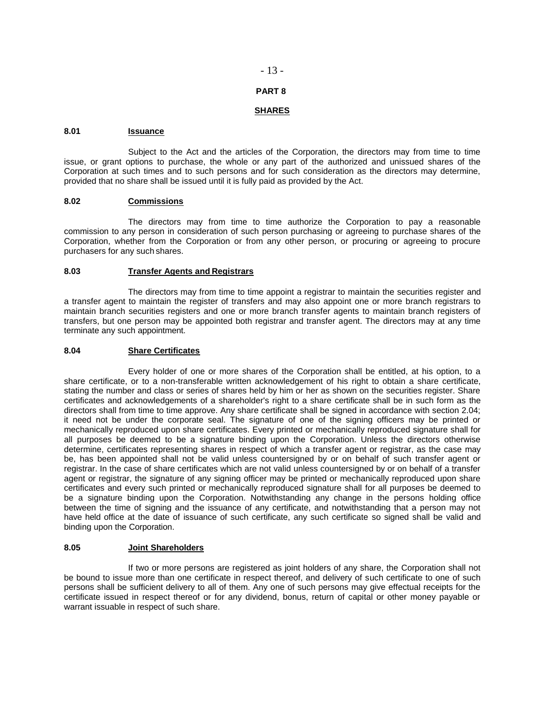## - 13 -

### **PART 8**

# **SHARES**

#### **8.01 Issuance**

Subject to the Act and the articles of the Corporation, the directors may from time to time issue, or grant options to purchase, the whole or any part of the authorized and unissued shares of the Corporation at such times and to such persons and for such consideration as the directors may determine, provided that no share shall be issued until it is fully paid as provided by the Act.

## **8.02 Commissions**

The directors may from time to time authorize the Corporation to pay a reasonable commission to any person in consideration of such person purchasing or agreeing to purchase shares of the Corporation, whether from the Corporation or from any other person, or procuring or agreeing to procure purchasers for any such shares.

#### **8.03 Transfer Agents and Registrars**

The directors may from time to time appoint a registrar to maintain the securities register and a transfer agent to maintain the register of transfers and may also appoint one or more branch registrars to maintain branch securities registers and one or more branch transfer agents to maintain branch registers of transfers, but one person may be appointed both registrar and transfer agent. The directors may at any time terminate any such appointment.

#### **8.04 Share Certificates**

Every holder of one or more shares of the Corporation shall be entitled, at his option, to a share certificate, or to a non-transferable written acknowledgement of his right to obtain a share certificate, stating the number and class or series of shares held by him or her as shown on the securities register. Share certificates and acknowledgements of a shareholder's right to a share certificate shall be in such form as the directors shall from time to time approve. Any share certificate shall be signed in accordance with section 2.04; it need not be under the corporate seal. The signature of one of the signing officers may be printed or mechanically reproduced upon share certificates. Every printed or mechanically reproduced signature shall for all purposes be deemed to be a signature binding upon the Corporation. Unless the directors otherwise determine, certificates representing shares in respect of which a transfer agent or registrar, as the case may be, has been appointed shall not be valid unless countersigned by or on behalf of such transfer agent or registrar. In the case of share certificates which are not valid unless countersigned by or on behalf of a transfer agent or registrar, the signature of any signing officer may be printed or mechanically reproduced upon share certificates and every such printed or mechanically reproduced signature shall for all purposes be deemed to be a signature binding upon the Corporation. Notwithstanding any change in the persons holding office between the time of signing and the issuance of any certificate, and notwithstanding that a person may not have held office at the date of issuance of such certificate, any such certificate so signed shall be valid and binding upon the Corporation.

#### **8.05 Joint Shareholders**

If two or more persons are registered as joint holders of any share, the Corporation shall not be bound to issue more than one certificate in respect thereof, and delivery of such certificate to one of such persons shall be sufficient delivery to all of them. Any one of such persons may give effectual receipts for the certificate issued in respect thereof or for any dividend, bonus, return of capital or other money payable or warrant issuable in respect of such share.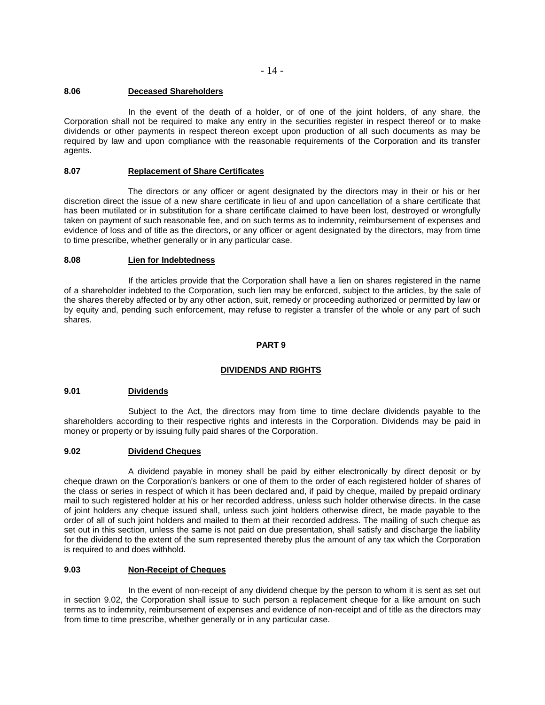### **8.06 Deceased Shareholders**

In the event of the death of a holder, or of one of the joint holders, of any share, the Corporation shall not be required to make any entry in the securities register in respect thereof or to make dividends or other payments in respect thereon except upon production of all such documents as may be required by law and upon compliance with the reasonable requirements of the Corporation and its transfer agents.

# **8.07 Replacement of Share Certificates**

The directors or any officer or agent designated by the directors may in their or his or her discretion direct the issue of a new share certificate in lieu of and upon cancellation of a share certificate that has been mutilated or in substitution for a share certificate claimed to have been lost, destroyed or wrongfully taken on payment of such reasonable fee, and on such terms as to indemnity, reimbursement of expenses and evidence of loss and of title as the directors, or any officer or agent designated by the directors, may from time to time prescribe, whether generally or in any particular case.

#### **8.08 Lien for Indebtedness**

If the articles provide that the Corporation shall have a lien on shares registered in the name of a shareholder indebted to the Corporation, such lien may be enforced, subject to the articles, by the sale of the shares thereby affected or by any other action, suit, remedy or proceeding authorized or permitted by law or by equity and, pending such enforcement, may refuse to register a transfer of the whole or any part of such shares.

### **PART 9**

# **DIVIDENDS AND RIGHTS**

#### **9.01 Dividends**

Subject to the Act, the directors may from time to time declare dividends payable to the shareholders according to their respective rights and interests in the Corporation. Dividends may be paid in money or property or by issuing fully paid shares of the Corporation.

## **9.02 Dividend Cheques**

A dividend payable in money shall be paid by either electronically by direct deposit or by cheque drawn on the Corporation's bankers or one of them to the order of each registered holder of shares of the class or series in respect of which it has been declared and, if paid by cheque, mailed by prepaid ordinary mail to such registered holder at his or her recorded address, unless such holder otherwise directs. In the case of joint holders any cheque issued shall, unless such joint holders otherwise direct, be made payable to the order of all of such joint holders and mailed to them at their recorded address. The mailing of such cheque as set out in this section, unless the same is not paid on due presentation, shall satisfy and discharge the liability for the dividend to the extent of the sum represented thereby plus the amount of any tax which the Corporation is required to and does withhold.

### **9.03 Non-Receipt of Cheques**

In the event of non-receipt of any dividend cheque by the person to whom it is sent as set out in section 9.02, the Corporation shall issue to such person a replacement cheque for a like amount on such terms as to indemnity, reimbursement of expenses and evidence of non-receipt and of title as the directors may from time to time prescribe, whether generally or in any particular case.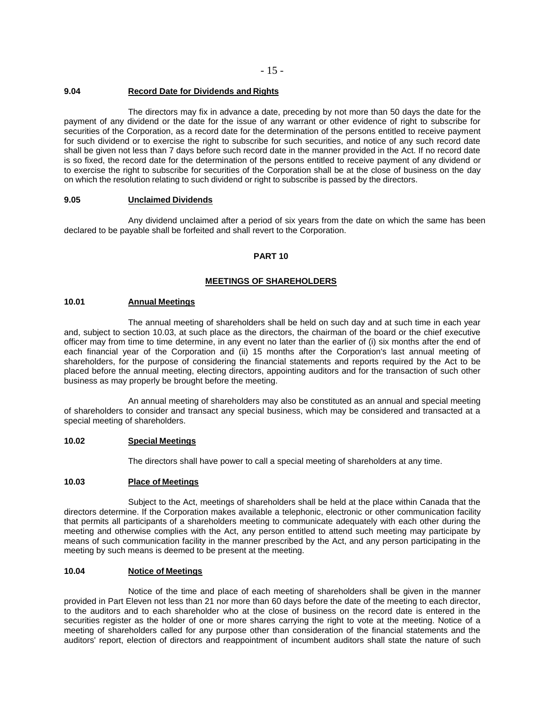#### **9.04 Record Date for Dividends and Rights**

The directors may fix in advance a date, preceding by not more than 50 days the date for the payment of any dividend or the date for the issue of any warrant or other evidence of right to subscribe for securities of the Corporation, as a record date for the determination of the persons entitled to receive payment for such dividend or to exercise the right to subscribe for such securities, and notice of any such record date shall be given not less than 7 days before such record date in the manner provided in the Act. If no record date is so fixed, the record date for the determination of the persons entitled to receive payment of any dividend or to exercise the right to subscribe for securities of the Corporation shall be at the close of business on the day on which the resolution relating to such dividend or right to subscribe is passed by the directors.

#### **9.05 Unclaimed Dividends**

Any dividend unclaimed after a period of six years from the date on which the same has been declared to be payable shall be forfeited and shall revert to the Corporation.

### **PART 10**

### **MEETINGS OF SHAREHOLDERS**

#### **10.01 Annual Meetings**

The annual meeting of shareholders shall be held on such day and at such time in each year and, subject to section 10.03, at such place as the directors, the chairman of the board or the chief executive officer may from time to time determine, in any event no later than the earlier of (i) six months after the end of each financial year of the Corporation and (ii) 15 months after the Corporation's last annual meeting of shareholders, for the purpose of considering the financial statements and reports required by the Act to be placed before the annual meeting, electing directors, appointing auditors and for the transaction of such other business as may properly be brought before the meeting.

An annual meeting of shareholders may also be constituted as an annual and special meeting of shareholders to consider and transact any special business, which may be considered and transacted at a special meeting of shareholders.

### **10.02 Special Meetings**

The directors shall have power to call a special meeting of shareholders at any time.

#### **10.03 Place of Meetings**

Subject to the Act, meetings of shareholders shall be held at the place within Canada that the directors determine. If the Corporation makes available a telephonic, electronic or other communication facility that permits all participants of a shareholders meeting to communicate adequately with each other during the meeting and otherwise complies with the Act, any person entitled to attend such meeting may participate by means of such communication facility in the manner prescribed by the Act, and any person participating in the meeting by such means is deemed to be present at the meeting.

#### **10.04 Notice of Meetings**

Notice of the time and place of each meeting of shareholders shall be given in the manner provided in Part Eleven not less than 21 nor more than 60 days before the date of the meeting to each director, to the auditors and to each shareholder who at the close of business on the record date is entered in the securities register as the holder of one or more shares carrying the right to vote at the meeting. Notice of a meeting of shareholders called for any purpose other than consideration of the financial statements and the auditors' report, election of directors and reappointment of incumbent auditors shall state the nature of such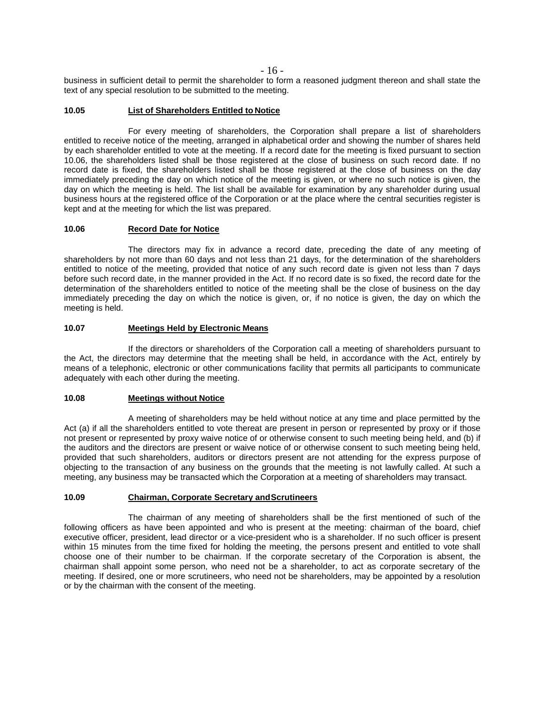- 16 -

business in sufficient detail to permit the shareholder to form a reasoned judgment thereon and shall state the text of any special resolution to be submitted to the meeting.

### **10.05 List of Shareholders Entitled to Notice**

For every meeting of shareholders, the Corporation shall prepare a list of shareholders entitled to receive notice of the meeting, arranged in alphabetical order and showing the number of shares held by each shareholder entitled to vote at the meeting. If a record date for the meeting is fixed pursuant to section 10.06, the shareholders listed shall be those registered at the close of business on such record date. If no record date is fixed, the shareholders listed shall be those registered at the close of business on the day immediately preceding the day on which notice of the meeting is given, or where no such notice is given, the day on which the meeting is held. The list shall be available for examination by any shareholder during usual business hours at the registered office of the Corporation or at the place where the central securities register is kept and at the meeting for which the list was prepared.

### **10.06 Record Date for Notice**

The directors may fix in advance a record date, preceding the date of any meeting of shareholders by not more than 60 days and not less than 21 days, for the determination of the shareholders entitled to notice of the meeting, provided that notice of any such record date is given not less than 7 days before such record date, in the manner provided in the Act. If no record date is so fixed, the record date for the determination of the shareholders entitled to notice of the meeting shall be the close of business on the day immediately preceding the day on which the notice is given, or, if no notice is given, the day on which the meeting is held.

## **10.07 Meetings Held by Electronic Means**

If the directors or shareholders of the Corporation call a meeting of shareholders pursuant to the Act, the directors may determine that the meeting shall be held, in accordance with the Act, entirely by means of a telephonic, electronic or other communications facility that permits all participants to communicate adequately with each other during the meeting.

#### **10.08 Meetings without Notice**

A meeting of shareholders may be held without notice at any time and place permitted by the Act (a) if all the shareholders entitled to vote thereat are present in person or represented by proxy or if those not present or represented by proxy waive notice of or otherwise consent to such meeting being held, and (b) if the auditors and the directors are present or waive notice of or otherwise consent to such meeting being held, provided that such shareholders, auditors or directors present are not attending for the express purpose of objecting to the transaction of any business on the grounds that the meeting is not lawfully called. At such a meeting, any business may be transacted which the Corporation at a meeting of shareholders may transact.

# **10.09 Chairman, Corporate Secretary andScrutineers**

The chairman of any meeting of shareholders shall be the first mentioned of such of the following officers as have been appointed and who is present at the meeting: chairman of the board, chief executive officer, president, lead director or a vice-president who is a shareholder. If no such officer is present within 15 minutes from the time fixed for holding the meeting, the persons present and entitled to vote shall choose one of their number to be chairman. If the corporate secretary of the Corporation is absent, the chairman shall appoint some person, who need not be a shareholder, to act as corporate secretary of the meeting. If desired, one or more scrutineers, who need not be shareholders, may be appointed by a resolution or by the chairman with the consent of the meeting.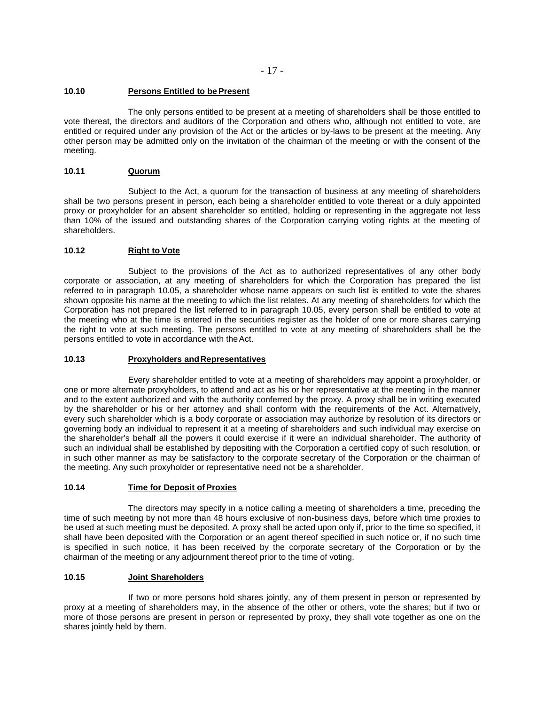- 17 -

### **10.10 Persons Entitled to bePresent**

The only persons entitled to be present at a meeting of shareholders shall be those entitled to vote thereat, the directors and auditors of the Corporation and others who, although not entitled to vote, are entitled or required under any provision of the Act or the articles or by-laws to be present at the meeting. Any other person may be admitted only on the invitation of the chairman of the meeting or with the consent of the meeting.

## **10.11 Quorum**

Subject to the Act, a quorum for the transaction of business at any meeting of shareholders shall be two persons present in person, each being a shareholder entitled to vote thereat or a duly appointed proxy or proxyholder for an absent shareholder so entitled, holding or representing in the aggregate not less than 10% of the issued and outstanding shares of the Corporation carrying voting rights at the meeting of shareholders.

### **10.12 Right to Vote**

Subject to the provisions of the Act as to authorized representatives of any other body corporate or association, at any meeting of shareholders for which the Corporation has prepared the list referred to in paragraph 10.05, a shareholder whose name appears on such list is entitled to vote the shares shown opposite his name at the meeting to which the list relates. At any meeting of shareholders for which the Corporation has not prepared the list referred to in paragraph 10.05, every person shall be entitled to vote at the meeting who at the time is entered in the securities register as the holder of one or more shares carrying the right to vote at such meeting. The persons entitled to vote at any meeting of shareholders shall be the persons entitled to vote in accordance with theAct.

# **10.13 Proxyholders andRepresentatives**

Every shareholder entitled to vote at a meeting of shareholders may appoint a proxyholder, or one or more alternate proxyholders, to attend and act as his or her representative at the meeting in the manner and to the extent authorized and with the authority conferred by the proxy. A proxy shall be in writing executed by the shareholder or his or her attorney and shall conform with the requirements of the Act. Alternatively, every such shareholder which is a body corporate or association may authorize by resolution of its directors or governing body an individual to represent it at a meeting of shareholders and such individual may exercise on the shareholder's behalf all the powers it could exercise if it were an individual shareholder. The authority of such an individual shall be established by depositing with the Corporation a certified copy of such resolution, or in such other manner as may be satisfactory to the corporate secretary of the Corporation or the chairman of the meeting. Any such proxyholder or representative need not be a shareholder.

### **10.14 Time for Deposit of Proxies**

The directors may specify in a notice calling a meeting of shareholders a time, preceding the time of such meeting by not more than 48 hours exclusive of non-business days, before which time proxies to be used at such meeting must be deposited. A proxy shall be acted upon only if, prior to the time so specified, it shall have been deposited with the Corporation or an agent thereof specified in such notice or, if no such time is specified in such notice, it has been received by the corporate secretary of the Corporation or by the chairman of the meeting or any adjournment thereof prior to the time of voting.

### **10.15 Joint Shareholders**

If two or more persons hold shares jointly, any of them present in person or represented by proxy at a meeting of shareholders may, in the absence of the other or others, vote the shares; but if two or more of those persons are present in person or represented by proxy, they shall vote together as one on the shares jointly held by them.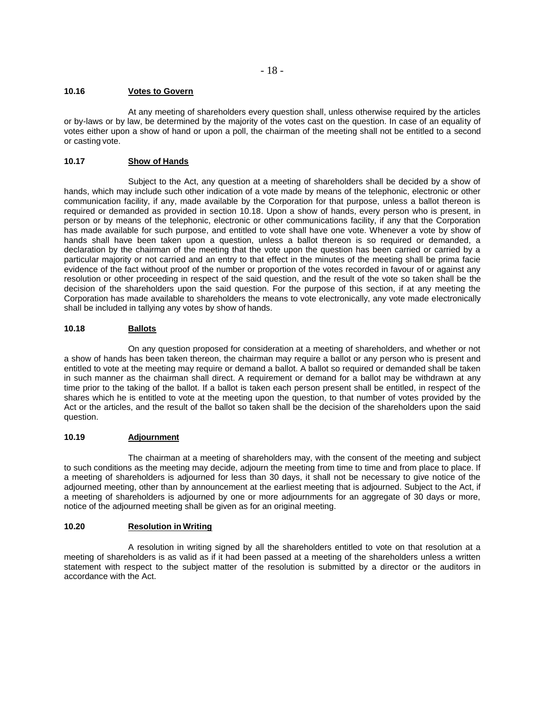### **10.16 Votes to Govern**

At any meeting of shareholders every question shall, unless otherwise required by the articles or by-laws or by law, be determined by the majority of the votes cast on the question. In case of an equality of votes either upon a show of hand or upon a poll, the chairman of the meeting shall not be entitled to a second or casting vote.

# **10.17 Show of Hands**

Subject to the Act, any question at a meeting of shareholders shall be decided by a show of hands, which may include such other indication of a vote made by means of the telephonic, electronic or other communication facility, if any, made available by the Corporation for that purpose, unless a ballot thereon is required or demanded as provided in section 10.18. Upon a show of hands, every person who is present, in person or by means of the telephonic, electronic or other communications facility, if any that the Corporation has made available for such purpose, and entitled to vote shall have one vote. Whenever a vote by show of hands shall have been taken upon a question, unless a ballot thereon is so required or demanded, a declaration by the chairman of the meeting that the vote upon the question has been carried or carried by a particular majority or not carried and an entry to that effect in the minutes of the meeting shall be prima facie evidence of the fact without proof of the number or proportion of the votes recorded in favour of or against any resolution or other proceeding in respect of the said question, and the result of the vote so taken shall be the decision of the shareholders upon the said question. For the purpose of this section, if at any meeting the Corporation has made available to shareholders the means to vote electronically, any vote made electronically shall be included in tallying any votes by show of hands.

# **10.18 Ballots**

On any question proposed for consideration at a meeting of shareholders, and whether or not a show of hands has been taken thereon, the chairman may require a ballot or any person who is present and entitled to vote at the meeting may require or demand a ballot. A ballot so required or demanded shall be taken in such manner as the chairman shall direct. A requirement or demand for a ballot may be withdrawn at any time prior to the taking of the ballot. If a ballot is taken each person present shall be entitled, in respect of the shares which he is entitled to vote at the meeting upon the question, to that number of votes provided by the Act or the articles, and the result of the ballot so taken shall be the decision of the shareholders upon the said question.

# **10.19 Adjournment**

The chairman at a meeting of shareholders may, with the consent of the meeting and subject to such conditions as the meeting may decide, adjourn the meeting from time to time and from place to place. If a meeting of shareholders is adjourned for less than 30 days, it shall not be necessary to give notice of the adjourned meeting, other than by announcement at the earliest meeting that is adjourned. Subject to the Act, if a meeting of shareholders is adjourned by one or more adjournments for an aggregate of 30 days or more, notice of the adjourned meeting shall be given as for an original meeting.

# **10.20 Resolution in Writing**

A resolution in writing signed by all the shareholders entitled to vote on that resolution at a meeting of shareholders is as valid as if it had been passed at a meeting of the shareholders unless a written statement with respect to the subject matter of the resolution is submitted by a director or the auditors in accordance with the Act.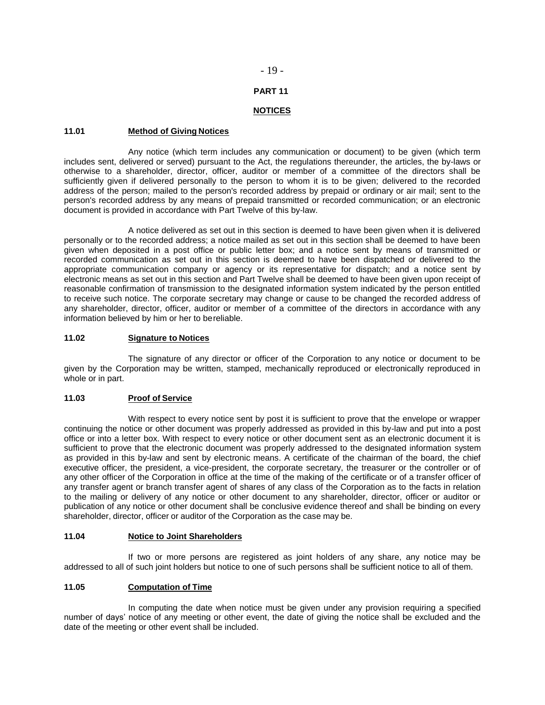### - 19 -

### **PART 11**

# **NOTICES**

### **11.01 Method of Giving Notices**

Any notice (which term includes any communication or document) to be given (which term includes sent, delivered or served) pursuant to the Act, the regulations thereunder, the articles, the by-laws or otherwise to a shareholder, director, officer, auditor or member of a committee of the directors shall be sufficiently given if delivered personally to the person to whom it is to be given; delivered to the recorded address of the person; mailed to the person's recorded address by prepaid or ordinary or air mail; sent to the person's recorded address by any means of prepaid transmitted or recorded communication; or an electronic document is provided in accordance with Part Twelve of this by-law.

A notice delivered as set out in this section is deemed to have been given when it is delivered personally or to the recorded address; a notice mailed as set out in this section shall be deemed to have been given when deposited in a post office or public letter box; and a notice sent by means of transmitted or recorded communication as set out in this section is deemed to have been dispatched or delivered to the appropriate communication company or agency or its representative for dispatch; and a notice sent by electronic means as set out in this section and Part Twelve shall be deemed to have been given upon receipt of reasonable confirmation of transmission to the designated information system indicated by the person entitled to receive such notice. The corporate secretary may change or cause to be changed the recorded address of any shareholder, director, officer, auditor or member of a committee of the directors in accordance with any information believed by him or her to bereliable.

### **11.02 Signature to Notices**

The signature of any director or officer of the Corporation to any notice or document to be given by the Corporation may be written, stamped, mechanically reproduced or electronically reproduced in whole or in part.

# **11.03 Proof of Service**

With respect to every notice sent by post it is sufficient to prove that the envelope or wrapper continuing the notice or other document was properly addressed as provided in this by-law and put into a post office or into a letter box. With respect to every notice or other document sent as an electronic document it is sufficient to prove that the electronic document was properly addressed to the designated information system as provided in this by-law and sent by electronic means. A certificate of the chairman of the board, the chief executive officer, the president, a vice-president, the corporate secretary, the treasurer or the controller or of any other officer of the Corporation in office at the time of the making of the certificate or of a transfer officer of any transfer agent or branch transfer agent of shares of any class of the Corporation as to the facts in relation to the mailing or delivery of any notice or other document to any shareholder, director, officer or auditor or publication of any notice or other document shall be conclusive evidence thereof and shall be binding on every shareholder, director, officer or auditor of the Corporation as the case may be.

# **11.04 Notice to Joint Shareholders**

If two or more persons are registered as joint holders of any share, any notice may be addressed to all of such joint holders but notice to one of such persons shall be sufficient notice to all of them.

# **11.05 Computation of Time**

In computing the date when notice must be given under any provision requiring a specified number of days' notice of any meeting or other event, the date of giving the notice shall be excluded and the date of the meeting or other event shall be included.